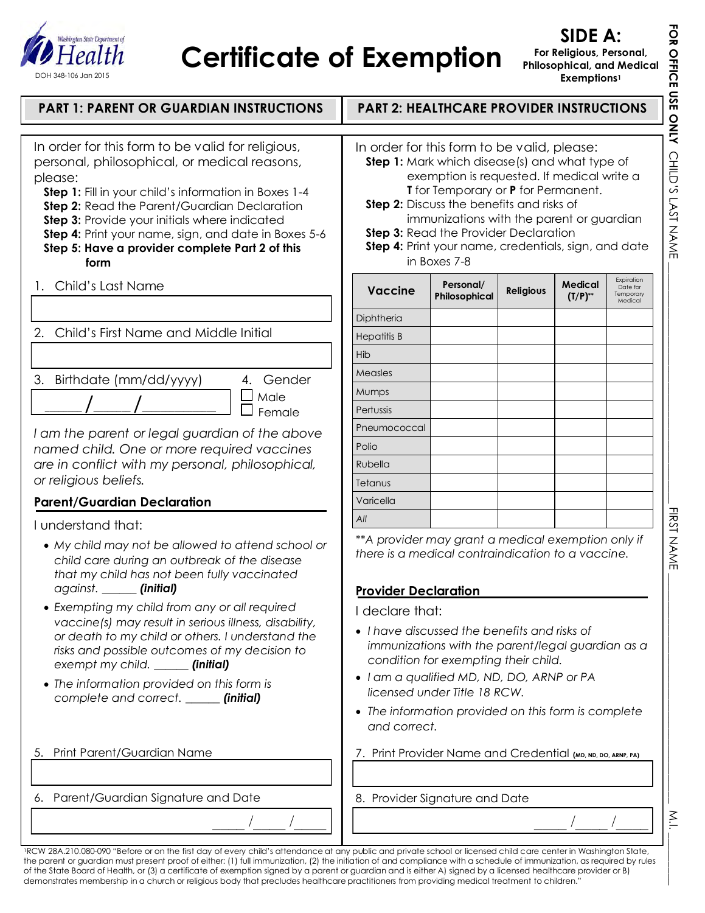

## **Certificate of Exemption**

**FOR OFFICE USE ONLY** 

FOR OFFICE USE ONLY CHILD'S LAST NAME

CHILD'S LAST NAME \_\_\_\_\_\_\_\_\_\_\_\_\_\_\_\_\_\_\_\_\_\_\_\_\_\_\_\_\_\_\_\_\_\_\_\_\_\_\_\_\_\_ FIRST NAME \_\_\_\_\_\_\_\_\_\_\_\_\_\_\_\_\_\_\_\_\_\_\_\_\_\_\_\_\_\_\_\_\_\_\_\_\_\_\_\_ M.I. \_\_\_\_\_\_

**FIRST NAME** 

 $\overline{\phantom{a}}$ 

 $\geq$ 

| <b>PART 1: PARENT OR GUARDIAN INSTRUCTIONS</b>                                                                                                                                                                                                                                                                                                                                                                                                                                                                          |                                                                                                                                                                                                                                                                                                                                                                                                                    | <b>PART 2: HEALTHCARE PROVIDER INSTRUCTIONS</b>                                                                           |                  |                         |                                                |
|-------------------------------------------------------------------------------------------------------------------------------------------------------------------------------------------------------------------------------------------------------------------------------------------------------------------------------------------------------------------------------------------------------------------------------------------------------------------------------------------------------------------------|--------------------------------------------------------------------------------------------------------------------------------------------------------------------------------------------------------------------------------------------------------------------------------------------------------------------------------------------------------------------------------------------------------------------|---------------------------------------------------------------------------------------------------------------------------|------------------|-------------------------|------------------------------------------------|
| In order for this form to be valid for religious,<br>personal, philosophical, or medical reasons,<br>please:<br><b>Step 1:</b> Fill in your child's information in Boxes 1-4<br>Step 2: Read the Parent/Guardian Declaration<br>Step 3: Provide your initials where indicated<br>Step 4: Print your name, sign, and date in Boxes 5-6<br>Step 5: Have a provider complete Part 2 of this<br>form                                                                                                                        | In order for this form to be valid, please:<br>Step 1: Mark which disease(s) and what type of<br>exemption is requested. If medical write a<br><b>T</b> for Temporary or <b>P</b> for Permanent.<br><b>Step 2:</b> Discuss the benefits and risks of<br>immunizations with the parent or guardian<br>Step 3: Read the Provider Declaration<br>Step 4: Print your name, credentials, sign, and date<br>in Boxes 7-8 |                                                                                                                           |                  |                         |                                                |
| 1. Child's Last Name                                                                                                                                                                                                                                                                                                                                                                                                                                                                                                    | <b>Vaccine</b>                                                                                                                                                                                                                                                                                                                                                                                                     | Personal/<br>Philosophical                                                                                                | <b>Religious</b> | Medical<br>$(T/P)^{**}$ | Expiration<br>Date for<br>Temporary<br>Medical |
| Child's First Name and Middle Initial<br>2.                                                                                                                                                                                                                                                                                                                                                                                                                                                                             | Diphtheria<br><b>Hepatitis B</b>                                                                                                                                                                                                                                                                                                                                                                                   |                                                                                                                           |                  |                         |                                                |
| 3. Birthdate (mm/dd/yyyy)<br>4. Gender                                                                                                                                                                                                                                                                                                                                                                                                                                                                                  | Hib<br>Measles                                                                                                                                                                                                                                                                                                                                                                                                     |                                                                                                                           |                  |                         |                                                |
| Male<br>Female                                                                                                                                                                                                                                                                                                                                                                                                                                                                                                          | Mumps<br>Pertussis                                                                                                                                                                                                                                                                                                                                                                                                 |                                                                                                                           |                  |                         |                                                |
| I am the parent or legal guardian of the above<br>named child. One or more required vaccines<br>are in conflict with my personal, philosophical,<br>or religious beliefs.                                                                                                                                                                                                                                                                                                                                               | Pneumococcal<br>Polio<br>Rubella<br>Tetanus                                                                                                                                                                                                                                                                                                                                                                        |                                                                                                                           |                  |                         |                                                |
| <b>Parent/Guardian Declaration</b>                                                                                                                                                                                                                                                                                                                                                                                                                                                                                      | Varicella                                                                                                                                                                                                                                                                                                                                                                                                          |                                                                                                                           |                  |                         |                                                |
| I understand that:                                                                                                                                                                                                                                                                                                                                                                                                                                                                                                      | All                                                                                                                                                                                                                                                                                                                                                                                                                |                                                                                                                           |                  |                         |                                                |
| • My child may not be allowed to attend school or<br>child care during an outbreak of the disease<br>that my child has not been fully vaccinated<br>against. ______ (initial)<br>• Exempting my child from any or all required<br>vaccine(s) may result in serious illness, disability,<br>or death to my child or others. I understand the<br>risks and possible outcomes of my decision to<br>exempt my child. _____ (initial)<br>• The information provided on this form is<br>complete and correct. _____ (initial) | ** A provider may grant a medical exemption only if<br>there is a medical contraindication to a vaccine.<br><b>Provider Declaration</b><br>I declare that:<br>• I have discussed the benefits and risks of<br>• I am a qualified MD, ND, DO, ARNP or PA<br>• The information provided on this form is complete<br>and correct.                                                                                     | immunizations with the parent/legal guardian as a<br>condition for exempting their child.<br>licensed under Title 18 RCW. |                  |                         |                                                |
| 5. Print Parent/Guardian Name                                                                                                                                                                                                                                                                                                                                                                                                                                                                                           | 7. Print Provider Name and Credential (MD, ND, DO, ARNP, PA)                                                                                                                                                                                                                                                                                                                                                       |                                                                                                                           |                  |                         |                                                |
| 6. Parent/Guardian Signature and Date                                                                                                                                                                                                                                                                                                                                                                                                                                                                                   | 8. Provider Signature and Date                                                                                                                                                                                                                                                                                                                                                                                     |                                                                                                                           |                  |                         |                                                |
|                                                                                                                                                                                                                                                                                                                                                                                                                                                                                                                         |                                                                                                                                                                                                                                                                                                                                                                                                                    |                                                                                                                           |                  |                         |                                                |

<sup>1</sup>RCW 28A.210.080-090 "Before or on the first day of every child's attendance at any public and private school or licensed child care center in Washington State, the parent or guardian must present proof of either: (1) full immunization, (2) the initiation of and compliance with a schedule of immunization, as required by rules of the State Board of Health, or (3) a certificate of exemption signed by a parent or guardian and is either A) signed by a licensed healthcare provider or B) demonstrates membership in a church or religious body that precludes healthcare practitioners from providing medical treatment to children."